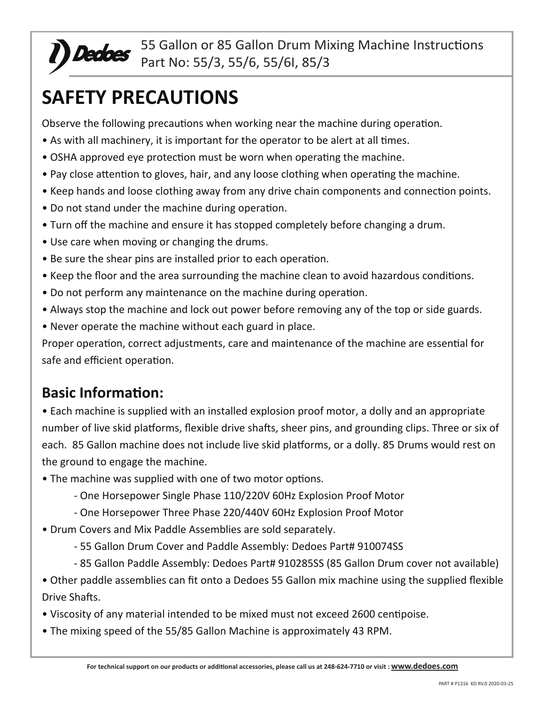# **SAFETY PRECAUTIONS**

Observe the following precautions when working near the machine during operation.

- As with all machinery, it is important for the operator to be alert at all times.
- OSHA approved eye protection must be worn when operating the machine.
- Pay close attention to gloves, hair, and any loose clothing when operating the machine.
- Keep hands and loose clothing away from any drive chain components and connection points.
- Do not stand under the machine during operation.
- Turn off the machine and ensure it has stopped completely before changing a drum.
- Use care when moving or changing the drums.
- Be sure the shear pins are installed prior to each operation.
- Keep the floor and the area surrounding the machine clean to avoid hazardous conditions.
- Do not perform any maintenance on the machine during operation.
- Always stop the machine and lock out power before removing any of the top or side guards.
- Never operate the machine without each guard in place.

Proper operation, correct adjustments, care and maintenance of the machine are essential for safe and efficient operation.

# **Basic Information:**

• Each machine is supplied with an installed explosion proof motor, a dolly and an appropriate number of live skid platforms, flexible drive shafts, sheer pins, and grounding clips. Three or six of each. 85 Gallon machine does not include live skid platforms, or a dolly. 85 Drums would rest on the ground to engage the machine.

- The machine was supplied with one of two motor options.
	- One Horsepower Single Phase 110/220V 60Hz Explosion Proof Motor
	- One Horsepower Three Phase 220/440V 60Hz Explosion Proof Motor
- Drum Covers and Mix Paddle Assemblies are sold separately.
	- 55 Gallon Drum Cover and Paddle Assembly: Dedoes Part# 910074SS
	- 85 Gallon Paddle Assembly: Dedoes Part# 910285SS (85 Gallon Drum cover not available)

• Other paddle assemblies can fit onto a Dedoes 55 Gallon mix machine using the supplied flexible Drive Shafts.

- Viscosity of any material intended to be mixed must not exceed 2600 centipoise.
- The mixing speed of the 55/85 Gallon Machine is approximately 43 RPM.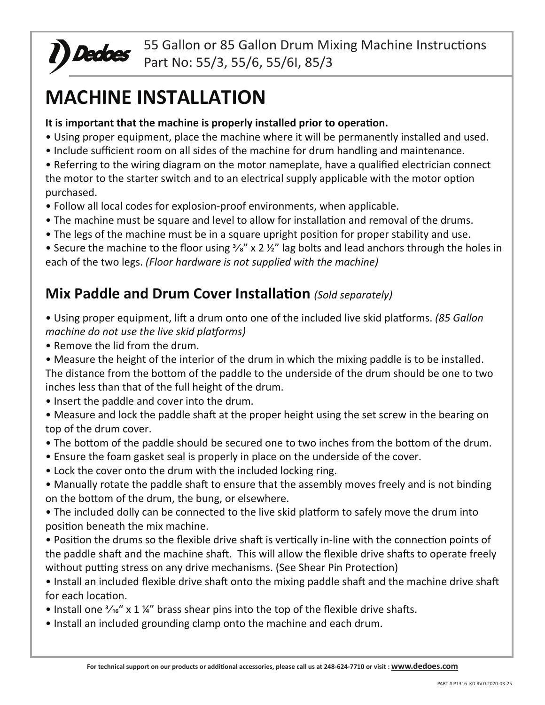

# **MACHINE INSTALLATION**

#### It is important that the machine is properly installed prior to operation.

- Using proper equipment, place the machine where it will be permanently installed and used.
- Include sufficient room on all sides of the machine for drum handling and maintenance.

• Referring to the wiring diagram on the motor nameplate, have a qualified electrician connect the motor to the starter switch and to an electrical supply applicable with the motor option purchased.

- Follow all local codes for explosion-proof environments, when applicable.
- The machine must be square and level to allow for installation and removal of the drums.
- The legs of the machine must be in a square upright position for proper stability and use.

• Secure the machine to the floor using  $\frac{3}{8}$ " x 2  $\frac{1}{2}$ " lag bolts and lead anchors through the holes in each of the two legs. *(Floor hardware is not supplied with the machine)*

# **Mix Paddle and Drum Cover Installation** *(Sold separately)*

• Using proper equipment, lift a drum onto one of the included live skid platforms. *(85 Gallon machine do not use the live skid platforms)*

- Remove the lid from the drum.
- Measure the height of the interior of the drum in which the mixing paddle is to be installed. The distance from the bottom of the paddle to the underside of the drum should be one to two inches less than that of the full height of the drum.
- Insert the paddle and cover into the drum.

• Measure and lock the paddle shaft at the proper height using the set screw in the bearing on top of the drum cover.

- The bottom of the paddle should be secured one to two inches from the bottom of the drum.
- Ensure the foam gasket seal is properly in place on the underside of the cover.
- Lock the cover onto the drum with the included locking ring.
- Manually rotate the paddle shaft to ensure that the assembly moves freely and is not binding on the bottom of the drum, the bung, or elsewhere.
- The included dolly can be connected to the live skid platform to safely move the drum into position beneath the mix machine.
- Position the drums so the flexible drive shaft is vertically in-line with the connection points of the paddle shaft and the machine shaft. This will allow the flexible drive shafts to operate freely without putting stress on any drive mechanisms. (See Shear Pin Protection)
- Install an included flexible drive shaft onto the mixing paddle shaft and the machine drive shaft for each location.
- Install one  $\frac{3}{16}$  x 1 1/<sub>4</sub><sup>"</sup> brass shear pins into the top of the flexible drive shafts.
- Install an included grounding clamp onto the machine and each drum.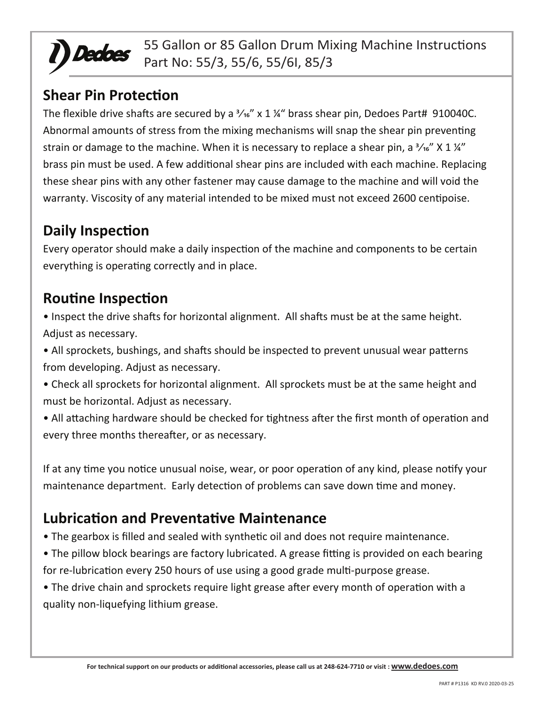

#### **Shear Pin Protection**

The flexible drive shafts are secured by a  $\frac{3}{16}$ " x 1 %" brass shear pin, Dedoes Part# 910040C. Abnormal amounts of stress from the mixing mechanisms will snap the shear pin preventing strain or damage to the machine. When it is necessary to replace a shear pin, a  $\frac{3}{16}$  X 1  $\frac{1}{4}$ brass pin must be used. A few additional shear pins are included with each machine. Replacing these shear pins with any other fastener may cause damage to the machine and will void the warranty. Viscosity of any material intended to be mixed must not exceed 2600 centipoise.

# **Daily Inspection**

Every operator should make a daily inspection of the machine and components to be certain everything is operating correctly and in place.

### **Routine Inspection**

- Inspect the drive shafts for horizontal alignment. All shafts must be at the same height. Adjust as necessary.
- All sprockets, bushings, and shafts should be inspected to prevent unusual wear patterns from developing. Adjust as necessary.
- Check all sprockets for horizontal alignment. All sprockets must be at the same height and must be horizontal. Adjust as necessary.
- All attaching hardware should be checked for tightness after the first month of operation and every three months thereafter, or as necessary.

If at any time you notice unusual noise, wear, or poor operation of any kind, please notify your maintenance department. Early detection of problems can save down time and money.

# **Lubrication and Preventative Maintenance**

- The gearbox is filled and sealed with synthetic oil and does not require maintenance.
- The pillow block bearings are factory lubricated. A grease fitting is provided on each bearing for re-lubrication every 250 hours of use using a good grade multi-purpose grease.
- The drive chain and sprockets require light grease after every month of operation with a quality non-liquefying lithium grease.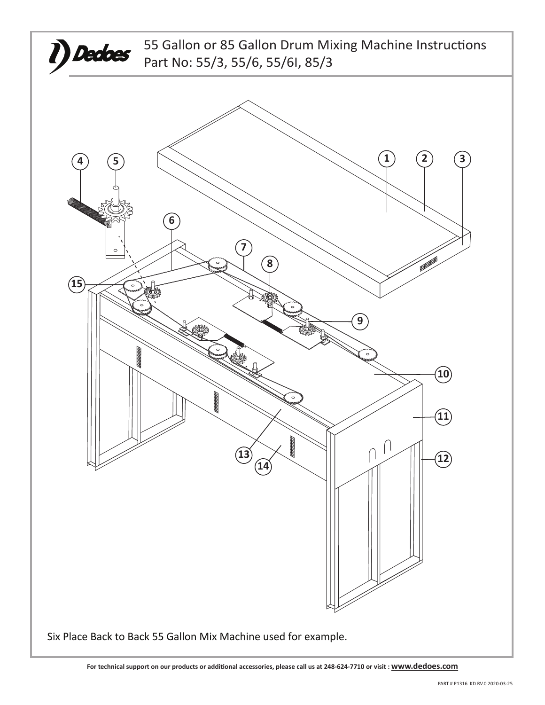

**For technical support on our products or addi�onal accessories, please call us at 248-624-7710 or visit : www.dedoes.com**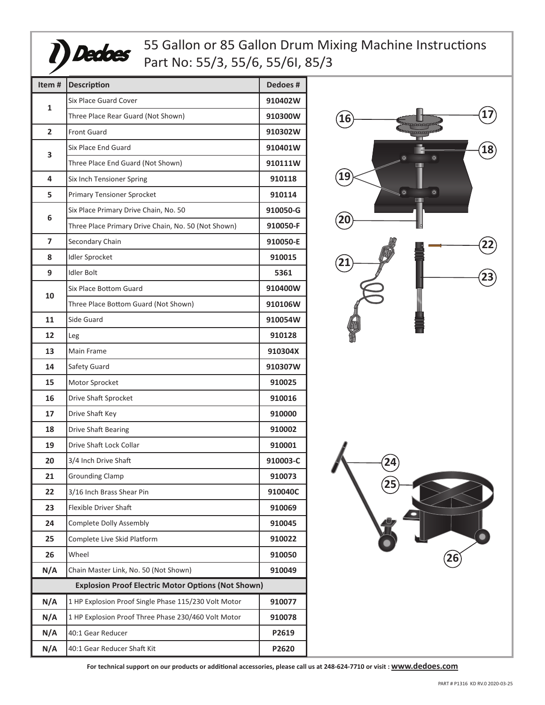

| Item#                                                     | <b>Description</b>                                   | Dedoes#  |  |
|-----------------------------------------------------------|------------------------------------------------------|----------|--|
| 1                                                         | <b>Six Place Guard Cover</b>                         | 910402W  |  |
|                                                           | Three Place Rear Guard (Not Shown)                   | 910300W  |  |
| $\overline{2}$                                            | <b>Front Guard</b>                                   | 910302W  |  |
| 3                                                         | Six Place End Guard                                  | 910401W  |  |
|                                                           | Three Place End Guard (Not Shown)                    | 910111W  |  |
| 4                                                         | Six Inch Tensioner Spring                            | 910118   |  |
| 5                                                         | <b>Primary Tensioner Sprocket</b>                    | 910114   |  |
| 6                                                         | Six Place Primary Drive Chain, No. 50                | 910050-G |  |
|                                                           | Three Place Primary Drive Chain, No. 50 (Not Shown)  | 910050-F |  |
| 7                                                         | Secondary Chain                                      | 910050-E |  |
| 8                                                         | <b>Idler Sprocket</b>                                | 910015   |  |
| 9                                                         | <b>Idler Bolt</b>                                    | 5361     |  |
|                                                           | Six Place Bottom Guard                               | 910400W  |  |
| 10                                                        | Three Place Bottom Guard (Not Shown)                 | 910106W  |  |
| 11                                                        | Side Guard                                           | 910054W  |  |
| 12                                                        | Leg                                                  | 910128   |  |
| 13                                                        | Main Frame                                           | 910304X  |  |
| 14                                                        | Safety Guard                                         | 910307W  |  |
| 15                                                        | Motor Sprocket                                       | 910025   |  |
| 16                                                        | Drive Shaft Sprocket                                 | 910016   |  |
| 17                                                        | Drive Shaft Key                                      | 910000   |  |
| 18                                                        | <b>Drive Shaft Bearing</b>                           | 910002   |  |
| 19                                                        | Drive Shaft Lock Collar                              | 910001   |  |
| 20                                                        | 3/4 Inch Drive Shaft                                 | 910003-C |  |
| 21                                                        | <b>Grounding Clamp</b>                               | 910073   |  |
| 22                                                        | 3/16 Inch Brass Shear Pin                            | 910040C  |  |
| 23                                                        | Flexible Driver Shaft                                | 910069   |  |
| 24                                                        | <b>Complete Dolly Assembly</b>                       | 910045   |  |
| 25                                                        | Complete Live Skid Platform                          | 910022   |  |
| 26                                                        | Wheel                                                | 910050   |  |
| N/A                                                       | Chain Master Link, No. 50 (Not Shown)                | 910049   |  |
| <b>Explosion Proof Electric Motor Options (Not Shown)</b> |                                                      |          |  |
| N/A                                                       | 1 HP Explosion Proof Single Phase 115/230 Volt Motor | 910077   |  |
| N/A                                                       | 1 HP Explosion Proof Three Phase 230/460 Volt Motor  | 910078   |  |
| N/A                                                       | 40:1 Gear Reducer                                    | P2619    |  |
| N/A                                                       | 40:1 Gear Reducer Shaft Kit                          | P2620    |  |
|                                                           |                                                      |          |  |



**For technical support on our products or addi�onal accessories, please call us at 248-624-7710 or visit : www.dedoes.com**